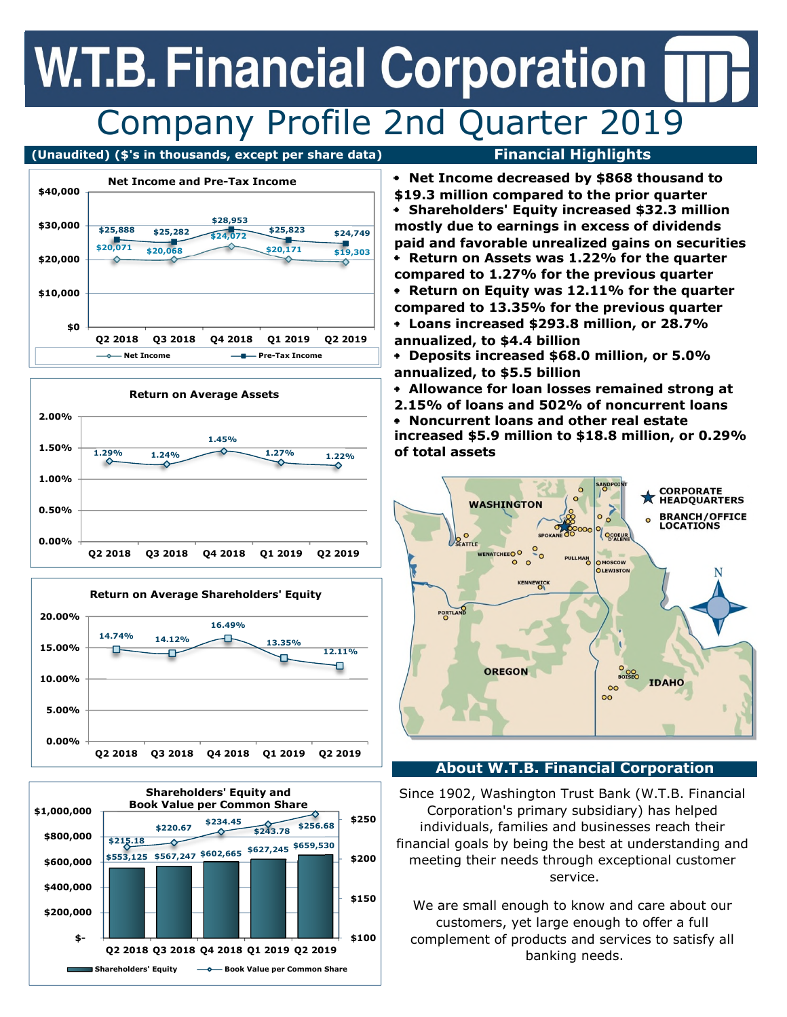## **W.T.B. Financial Corporation** Company Profile 2nd Quarter 2019

#### **(Unaudited) (\$'s in thousands, except per share data) Financial Highlights**









**Loans increased \$293.8 million, or 28.7% Return on Assets was 1.22% for the quarter compared to 1.27% for the previous quarter Return on Equity was 12.11% for the quarter compared to 13.35% for the previous quarter Net Income decreased by \$868 thousand to \$19.3 million compared to the prior quarter Shareholders' Equity increased \$32.3 million mostly due to earnings in excess of dividends paid and favorable unrealized gains on securities**

**annualized, to \$4.4 billion**

**Deposits increased \$68.0 million, or 5.0% annualized, to \$5.5 billion**

**Allowance for loan losses remained strong at**

**increased \$5.9 million to \$18.8 million, or 0.29% of total assets 2.15% of loans and 502% of noncurrent loans Noncurrent loans and other real estate**



### **About W.T.B. Financial Corporation**

Since 1902, Washington Trust Bank (W.T.B. Financial Corporation's primary subsidiary) has helped individuals, families and businesses reach their financial goals by being the best at understanding and meeting their needs through exceptional customer service.

We are small enough to know and care about our customers, yet large enough to offer a full complement of products and services to satisfy all banking needs.